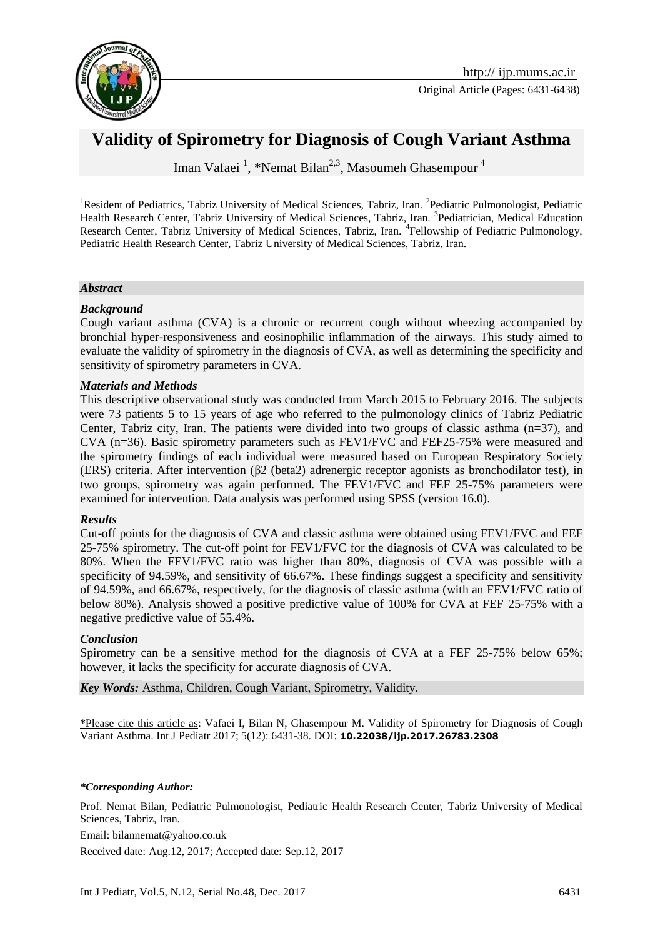

# **Validity of Spirometry for Diagnosis of Cough Variant Asthma**

Iman Vafaei<sup>1</sup>, \*Nemat Bilan<sup>2,3</sup>, Masoumeh Ghasempour<sup>4</sup>

<sup>1</sup>Resident of Pediatrics, Tabriz University of Medical Sciences, Tabriz, Iran. <sup>2</sup>Pediatric Pulmonologist, Pediatric Health Research Center, Tabriz University of Medical Sciences, Tabriz, Iran. <sup>3</sup>Pediatrician, Medical Education Research Center, Tabriz University of Medical Sciences, Tabriz, Iran. <sup>4</sup>Fellowship of Pediatric Pulmonology, Pediatric Health Research Center, Tabriz University of Medical Sciences, Tabriz, Iran.

#### *Abstract*

#### *Background*

Cough variant asthma (CVA) is a chronic or recurrent cough without wheezing accompanied by bronchial hyper-responsiveness and eosinophilic inflammation of the airways. This study aimed to evaluate the validity of spirometry in the diagnosis of CVA, as well as determining the specificity and sensitivity of spirometry parameters in CVA.

#### *Materials and Methods*

This descriptive observational study was conducted from March 2015 to February 2016. The subjects were 73 patients 5 to 15 years of age who referred to the pulmonology clinics of Tabriz Pediatric Center, Tabriz city, Iran. The patients were divided into two groups of classic asthma  $(n=37)$ , and CVA (n=36). Basic spirometry parameters such as FEV1/FVC and FEF25-75% were measured and the spirometry findings of each individual were measured based on European Respiratory Society (ERS) criteria. After intervention (β2 (beta2) adrenergic receptor agonists as bronchodilator test), in two groups, spirometry was again performed. The FEV1/FVC and FEF 25-75% parameters were examined for intervention. Data analysis was performed using SPSS (version 16.0).

#### *Results*

Cut-off points for the diagnosis of CVA and classic asthma were obtained using FEV1/FVC and FEF 25-75% spirometry. The cut-off point for FEV1/FVC for the diagnosis of CVA was calculated to be 80%. When the FEV1/FVC ratio was higher than 80%, diagnosis of CVA was possible with a specificity of 94.59%, and sensitivity of 66.67%. These findings suggest a specificity and sensitivity of 94.59%, and 66.67%, respectively, for the diagnosis of classic asthma (with an FEV1/FVC ratio of below 80%). Analysis showed a positive predictive value of 100% for CVA at FEF 25-75% with a negative predictive value of 55.4%.

#### *Conclusion*

<u>.</u>

Spirometry can be a sensitive method for the diagnosis of CVA at a FEF 25-75% below 65%; however, it lacks the specificity for accurate diagnosis of CVA.

*Key Words:* Asthma, Children, Cough Variant, Spirometry, Validity.

\*Please cite this article as: Vafaei I, Bilan N, Ghasempour M. Validity of Spirometry for Diagnosis of Cough Variant Asthma. Int J Pediatr 2017; 5(12): 6431-38. DOI: **10.22038/ijp.2017.26783.2308**

*\*Corresponding Author:*

Prof. Nemat Bilan, Pediatric Pulmonologist, Pediatric Health Research Center, Tabriz University of Medical Sciences, Tabriz, Iran.

Email: bilannemat@yahoo.co.uk

Received date: Aug.12, 2017; Accepted date: Sep.12, 2017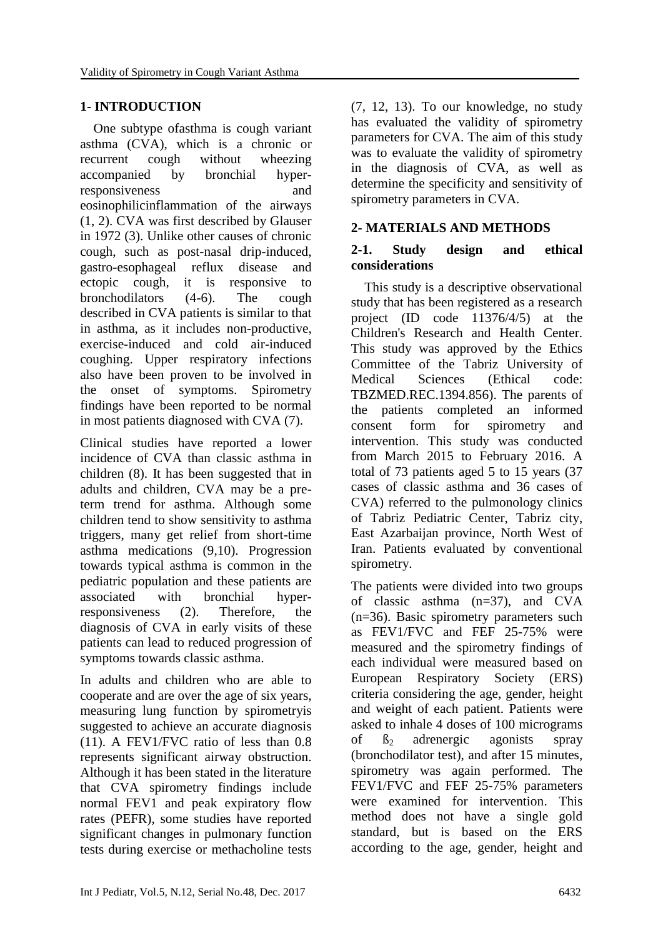# **1- INTRODUCTION**

 One subtype ofasthma is cough variant asthma (CVA), which is a chronic or recurrent cough without wheezing accompanied by bronchial hyperresponsiveness and eosinophilicinflammation of the airways (1, 2). CVA was first described by Glauser in 1972 (3). Unlike other causes of chronic cough, such as post-nasal drip-induced, gastro-esophageal reflux disease and ectopic cough, it is responsive to bronchodilators (4-6). The cough described in CVA patients is similar to that in asthma, as it includes non-productive, exercise-induced and cold air-induced coughing. Upper respiratory infections also have been proven to be involved in the onset of symptoms. Spirometry findings have been reported to be normal in most patients diagnosed with CVA (7).

Clinical studies have reported a lower incidence of CVA than classic asthma in children (8). It has been suggested that in adults and children, CVA may be a preterm trend for asthma. Although some children tend to show sensitivity to asthma triggers, many get relief from short-time asthma medications (9,10). Progression towards typical asthma is common in the pediatric population and these patients are associated with bronchial hyperresponsiveness (2). Therefore, the diagnosis of CVA in early visits of these patients can lead to reduced progression of symptoms towards classic asthma.

In adults and children who are able to cooperate and are over the age of six years, measuring lung function by spirometryis suggested to achieve an accurate diagnosis (11). A FEV1/FVC ratio of less than 0.8 represents significant airway obstruction. Although it has been stated in the literature that CVA spirometry findings include normal FEV1 and peak expiratory flow rates (PEFR), some studies have reported significant changes in pulmonary function tests during exercise or methacholine tests (7, 12, 13). To our knowledge, no study has evaluated the validity of spirometry parameters for CVA. The aim of this study was to evaluate the validity of spirometry in the diagnosis of CVA, as well as determine the specificity and sensitivity of spirometry parameters in CVA.

# **2- MATERIALS AND METHODS**

## **2-1. Study design and ethical considerations**

 This study is a descriptive observational study that has been registered as a research project (ID code 11376/4/5) at the Children's Research and Health Center. This study was approved by the Ethics Committee of the Tabriz University of Medical Sciences (Ethical code: TBZMED.REC.1394.856). The parents of the patients completed an informed consent form for spirometry and intervention. This study was conducted from March 2015 to February 2016. A total of 73 patients aged 5 to 15 years (37 cases of classic asthma and 36 cases of CVA) referred to the pulmonology clinics of Tabriz Pediatric Center, Tabriz city, East Azarbaijan province, North West of Iran. Patients evaluated by conventional spirometry.

The patients were divided into two groups of classic asthma (n=37), and CVA (n=36). Basic spirometry parameters such as FEV1/FVC and FEF 25-75% were measured and the spirometry findings of each individual were measured based on European Respiratory Society (ERS) criteria considering the age, gender, height and weight of each patient. Patients were asked to inhale 4 doses of 100 micrograms of  $\beta_2$  adrenergic agonists spray (bronchodilator test), and after 15 minutes, spirometry was again performed. The FEV1/FVC and FEF 25-75% parameters were examined for intervention. This method does not have a single gold standard, but is based on the ERS according to the age, gender, height and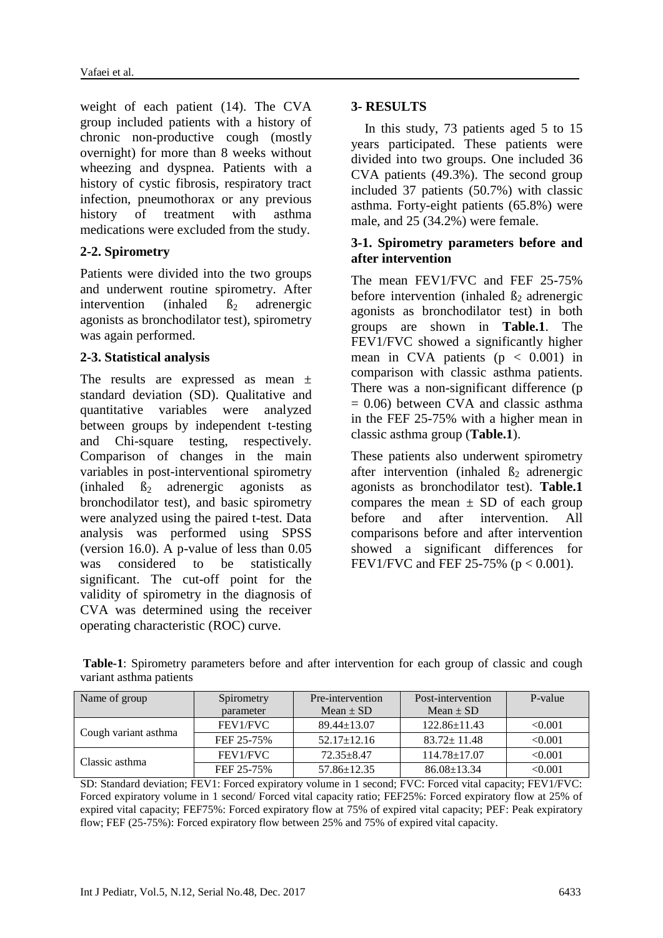weight of each patient (14). The CVA group included patients with a history of chronic non-productive cough (mostly overnight) for more than 8 weeks without wheezing and dyspnea. Patients with a history of cystic fibrosis, respiratory tract infection, pneumothorax or any previous history of treatment with asthma medications were excluded from the study.

# **2-2. Spirometry**

Patients were divided into the two groups and underwent routine spirometry. After intervention (inhaled  $\beta_2$  adrenergic agonists as bronchodilator test), spirometry was again performed.

## **2-3. Statistical analysis**

The results are expressed as mean ± standard deviation (SD). Qualitative and quantitative variables were analyzed between groups by independent t-testing and Chi-square testing, respectively. Comparison of changes in the main variables in post-interventional spirometry  $(inhaled \tB<sub>2</sub> adrenergic agonists as$ bronchodilator test), and basic spirometry were analyzed using the paired t-test. Data analysis was performed using SPSS (version 16.0). A p-value of less than 0.05 was considered to be statistically significant. The cut-off point for the validity of spirometry in the diagnosis of CVA was determined using the receiver operating characteristic (ROC) curve.

# **3- RESULTS**

 In this study, 73 patients aged 5 to 15 years participated. These patients were divided into two groups. One included 36 CVA patients (49.3%). The second group included 37 patients (50.7%) with classic asthma. Forty-eight patients (65.8%) were male, and 25 (34.2%) were female.

## **3-1. Spirometry parameters before and after intervention**

The mean FEV1/FVC and FEF 25-75% before intervention (inhaled  $\beta_2$  adrenergic agonists as bronchodilator test) in both groups are shown in **Table.1**. The FEV1/FVC showed a significantly higher mean in CVA patients  $(p < 0.001)$  in comparison with classic asthma patients. There was a non-significant difference (p  $= 0.06$ ) between CVA and classic asthma in the FEF 25-75% with a higher mean in classic asthma group (**Table.1**).

These patients also underwent spirometry after intervention (inhaled  $\beta_2$  adrenergic agonists as bronchodilator test). **Table.1** compares the mean  $\pm$  SD of each group before and after intervention. All comparisons before and after intervention showed a significant differences for FEV1/FVC and FEF 25-75% ( $p < 0.001$ ).

| Table-1: Spirometry parameters before and after intervention for each group of classic and cough |  |  |  |  |  |  |
|--------------------------------------------------------------------------------------------------|--|--|--|--|--|--|
| variant asthma patients                                                                          |  |  |  |  |  |  |

| Name of group        | Spirometry | Pre-intervention  | Post-intervention  | P-value |  |  |
|----------------------|------------|-------------------|--------------------|---------|--|--|
|                      | parameter  | Mean $\pm$ SD     | Mean $\pm$ SD      |         |  |  |
| Cough variant asthma | FEV1/FVC   | $89.44 \pm 13.07$ | $122.86 \pm 11.43$ | < 0.001 |  |  |
|                      | FEF 25-75% | $52.17 \pm 12.16$ | $83.72 \pm 11.48$  | < 0.001 |  |  |
| Classic asthma       | FEV1/FVC   | $72.35 + 8.47$    | $114.78 \pm 17.07$ | < 0.001 |  |  |
|                      | FEF 25-75% | $57.86 \pm 12.35$ | $86.08 \pm 13.34$  | < 0.001 |  |  |

SD: Standard deviation; FEV1: Forced expiratory volume in 1 second; FVC: Forced vital capacity; FEV1/FVC: Forced expiratory volume in 1 second/ Forced vital capacity ratio; FEF25%: Forced expiratory flow at 25% of expired vital capacity; FEF75%: Forced expiratory flow at 75% of expired vital capacity; PEF: Peak expiratory flow; FEF (25-75%): Forced expiratory flow between 25% and 75% of expired vital capacity.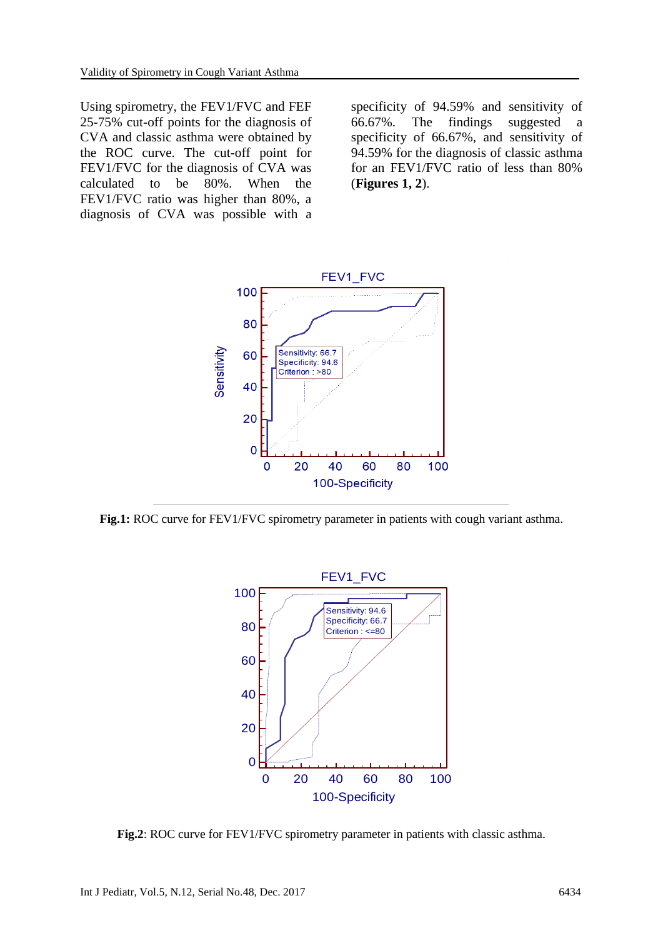Using spirometry, the FEV1/FVC and FEF 25-75% cut-off points for the diagnosis of CVA and classic asthma were obtained by the ROC curve. The cut-off point for FEV1/FVC for the diagnosis of CVA was calculated to be 80%. When the FEV1/FVC ratio was higher than 80%, a diagnosis of CVA was possible with a

specificity of 94.59% and sensitivity of 66.67%. The findings suggested a specificity of 66.67%, and sensitivity of 94.59% for the diagnosis of classic asthma for an FEV1/FVC ratio of less than 80% (**Figures 1, 2**).



**Fig.1:** ROC curve for FEV1/FVC spirometry parameter in patients with cough variant asthma.



**Fig.2**: ROC curve for FEV1/FVC spirometry parameter in patients with classic asthma.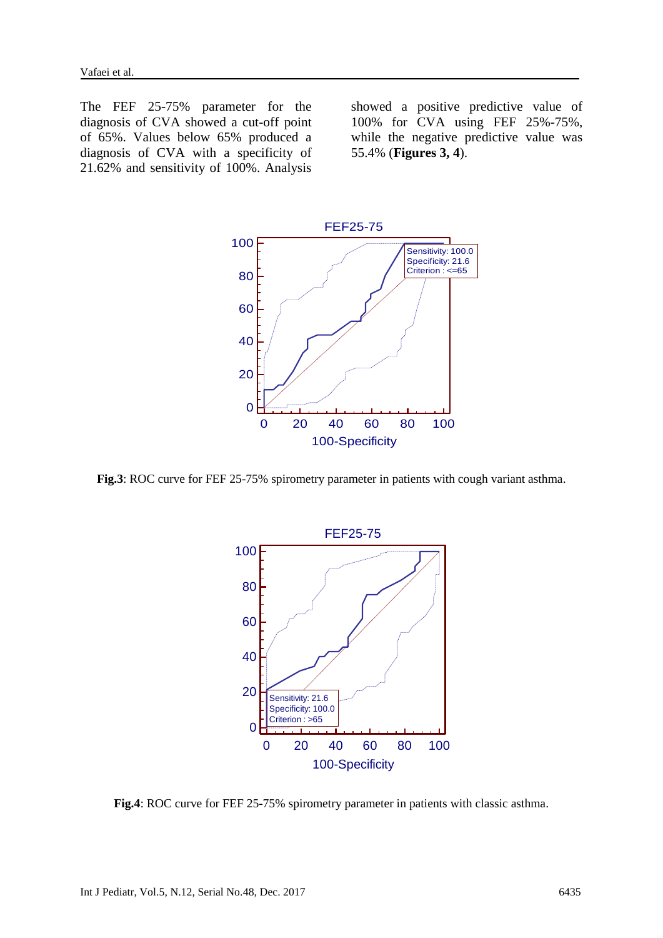The FEF 25-75% parameter for the diagnosis of CVA showed a cut-off point of 65%. Values below 65% produced a diagnosis of CVA with a specificity of 21.62% and sensitivity of 100%. Analysis showed a positive predictive value of 100% for CVA using FEF 25%-75%, while the negative predictive value was 55.4% (**Figures 3, 4**).



**Fig.3**: ROC curve for FEF 25-75% spirometry parameter in patients with cough variant asthma.



**Fig.4**: ROC curve for FEF 25-75% spirometry parameter in patients with classic asthma.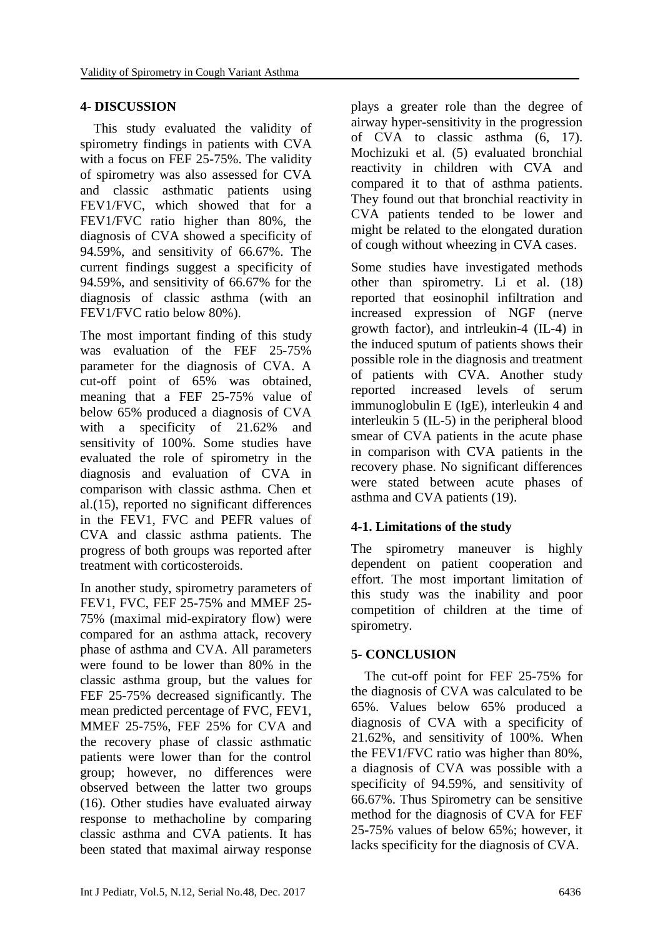# **4- DISCUSSION**

 This study evaluated the validity of spirometry findings in patients with CVA with a focus on FEF 25-75%. The validity of spirometry was also assessed for CVA and classic asthmatic patients using FEV1/FVC, which showed that for a FEV1/FVC ratio higher than 80%, the diagnosis of CVA showed a specificity of 94.59%, and sensitivity of 66.67%. The current findings suggest a specificity of 94.59%, and sensitivity of 66.67% for the diagnosis of classic asthma (with an FEV1/FVC ratio below 80%).

The most important finding of this study was evaluation of the FEF 25-75% parameter for the diagnosis of CVA. A cut-off point of 65% was obtained, meaning that a FEF 25-75% value of below 65% produced a diagnosis of CVA with a specificity of 21.62% and sensitivity of 100%. Some studies have evaluated the role of spirometry in the diagnosis and evaluation of CVA in comparison with classic asthma. Chen et al.(15), reported no significant differences in the FEV1, FVC and PEFR values of CVA and classic asthma patients. The progress of both groups was reported after treatment with corticosteroids.

In another study, spirometry parameters of FEV1, FVC, FEF 25-75% and MMEF 25- 75% (maximal mid-expiratory flow) were compared for an asthma attack, recovery phase of asthma and CVA. All parameters were found to be lower than 80% in the classic asthma group, but the values for FEF 25-75% decreased significantly. The mean predicted percentage of FVC, FEV1, MMEF 25-75%, FEF 25% for CVA and the recovery phase of classic asthmatic patients were lower than for the control group; however, no differences were observed between the latter two groups (16). Other studies have evaluated airway response to methacholine by comparing classic asthma and CVA patients. It has been stated that maximal airway response plays a greater role than the degree of airway hyper-sensitivity in the progression of CVA to classic asthma (6, 17). Mochizuki et al. (5) evaluated bronchial reactivity in children with CVA and compared it to that of asthma patients. They found out that bronchial reactivity in CVA patients tended to be lower and might be related to the elongated duration of cough without wheezing in CVA cases.

Some studies have investigated methods other than spirometry. Li et al. (18) reported that eosinophil infiltration and increased expression of NGF (nerve growth factor), and intrleukin-4 (IL-4) in the induced sputum of patients shows their possible role in the diagnosis and treatment of patients with CVA. Another study reported increased levels of serum immunoglobulin E (IgE), interleukin 4 and interleukin 5 (IL-5) in the peripheral blood smear of CVA patients in the acute phase in comparison with CVA patients in the recovery phase. No significant differences were stated between acute phases of asthma and CVA patients (19).

# **4-1. Limitations of the study**

The spirometry maneuver is highly dependent on patient cooperation and effort. The most important limitation of this study was the inability and poor competition of children at the time of spirometry.

# **5- CONCLUSION**

 The cut-off point for FEF 25-75% for the diagnosis of CVA was calculated to be 65%. Values below 65% produced a diagnosis of CVA with a specificity of 21.62%, and sensitivity of 100%. When the FEV1/FVC ratio was higher than 80%, a diagnosis of CVA was possible with a specificity of 94.59%, and sensitivity of 66.67%. Thus Spirometry can be sensitive method for the diagnosis of CVA for FEF 25-75% values of below 65%; however, it lacks specificity for the diagnosis of CVA.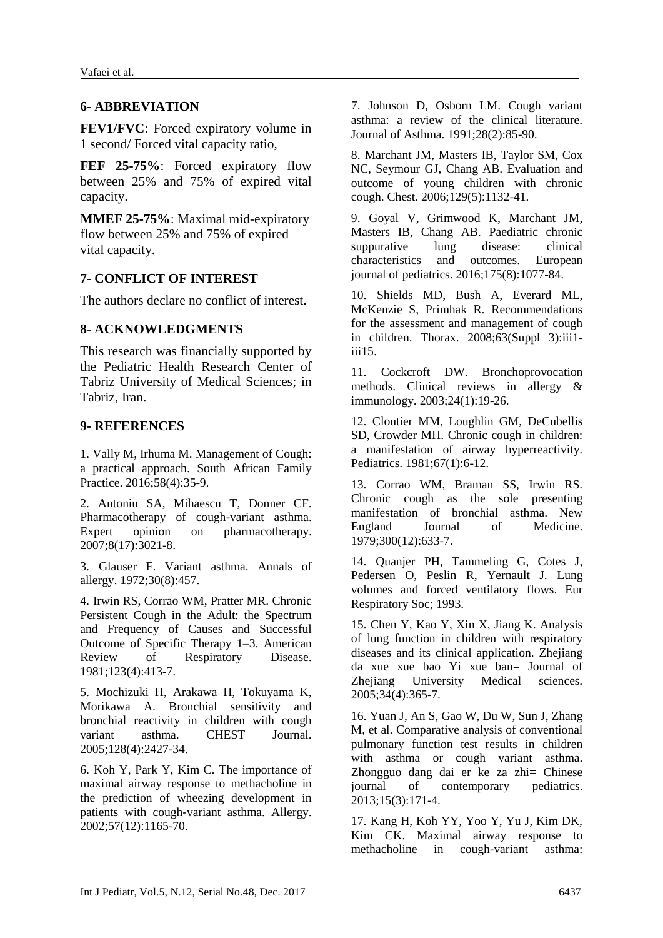# **6- ABBREVIATION**

**FEV1/FVC**: Forced expiratory volume in 1 second/ Forced vital capacity ratio,

**FEF 25-75%:** Forced expiratory flow between 25% and 75% of expired vital capacity.

**MMEF 25-75%**: Maximal mid-expiratory flow between 25% and 75% of expired vital capacity.

### **7- CONFLICT OF INTEREST**

The authors declare no conflict of interest.

## **8- ACKNOWLEDGMENTS**

This research was financially supported by the Pediatric Health Research Center of Tabriz University of Medical Sciences; in Tabriz, Iran.

### **9- REFERENCES**

1. Vally M, Irhuma M. Management of Cough: a practical approach. South African Family Practice. 2016;58(4):35-9.

2. Antoniu SA, Mihaescu T, Donner CF. Pharmacotherapy of cough-variant asthma. Expert opinion on pharmacotherapy. 2007;8(17):3021-8.

3. Glauser F. Variant asthma. Annals of allergy. 1972;30(8):457.

4. Irwin RS, Corrao WM, Pratter MR. Chronic Persistent Cough in the Adult: the Spectrum and Frequency of Causes and Successful Outcome of Specific Therapy 1–3. American Review of Respiratory Disease. 1981;123(4):413-7.

5. Mochizuki H, Arakawa H, Tokuyama K, Morikawa A. Bronchial sensitivity and bronchial reactivity in children with cough variant asthma. CHEST Journal. 2005;128(4):2427-34.

6. Koh Y, Park Y, Kim C. The importance of maximal airway response to methacholine in the prediction of wheezing development in patients with cough‐variant asthma. Allergy. 2002;57(12):1165-70.

7. Johnson D, Osborn LM. Cough variant asthma: a review of the clinical literature. Journal of Asthma. 1991;28(2):85-90.

8. Marchant JM, Masters IB, Taylor SM, Cox NC, Seymour GJ, Chang AB. Evaluation and outcome of young children with chronic cough. Chest. 2006;129(5):1132-41.

9. Goyal V, Grimwood K, Marchant JM, Masters IB, Chang AB. Paediatric chronic suppurative lung disease: clinical characteristics and outcomes. European journal of pediatrics. 2016;175(8):1077-84.

10. Shields MD, Bush A, Everard ML, McKenzie S, Primhak R. Recommendations for the assessment and management of cough in children. Thorax. 2008;63(Suppl 3):iii1  $iii15$ 

11. Cockcroft DW. Bronchoprovocation methods. Clinical reviews in allergy & immunology. 2003;24(1):19-26.

12. Cloutier MM, Loughlin GM, DeCubellis SD, Crowder MH. Chronic cough in children: a manifestation of airway hyperreactivity. Pediatrics. 1981;67(1):6-12.

13. Corrao WM, Braman SS, Irwin RS. Chronic cough as the sole presenting manifestation of bronchial asthma. New England Journal of Medicine. 1979;300(12):633-7.

14. Quanjer PH, Tammeling G, Cotes J, Pedersen O, Peslin R, Yernault J. Lung volumes and forced ventilatory flows. Eur Respiratory Soc; 1993.

15. Chen Y, Kao Y, Xin X, Jiang K. Analysis of lung function in children with respiratory diseases and its clinical application. Zhejiang da xue xue bao Yi xue ban= Journal of Zhejiang University Medical sciences. 2005;34(4):365-7.

16. Yuan J, An S, Gao W, Du W, Sun J, Zhang M, et al. Comparative analysis of conventional pulmonary function test results in children with asthma or cough variant asthma. Zhongguo dang dai er ke za zhi= Chinese journal of contemporary pediatrics. 2013;15(3):171-4.

17. Kang H, Koh YY, Yoo Y, Yu J, Kim DK, Kim CK. Maximal airway response to methacholine in cough-variant asthma: